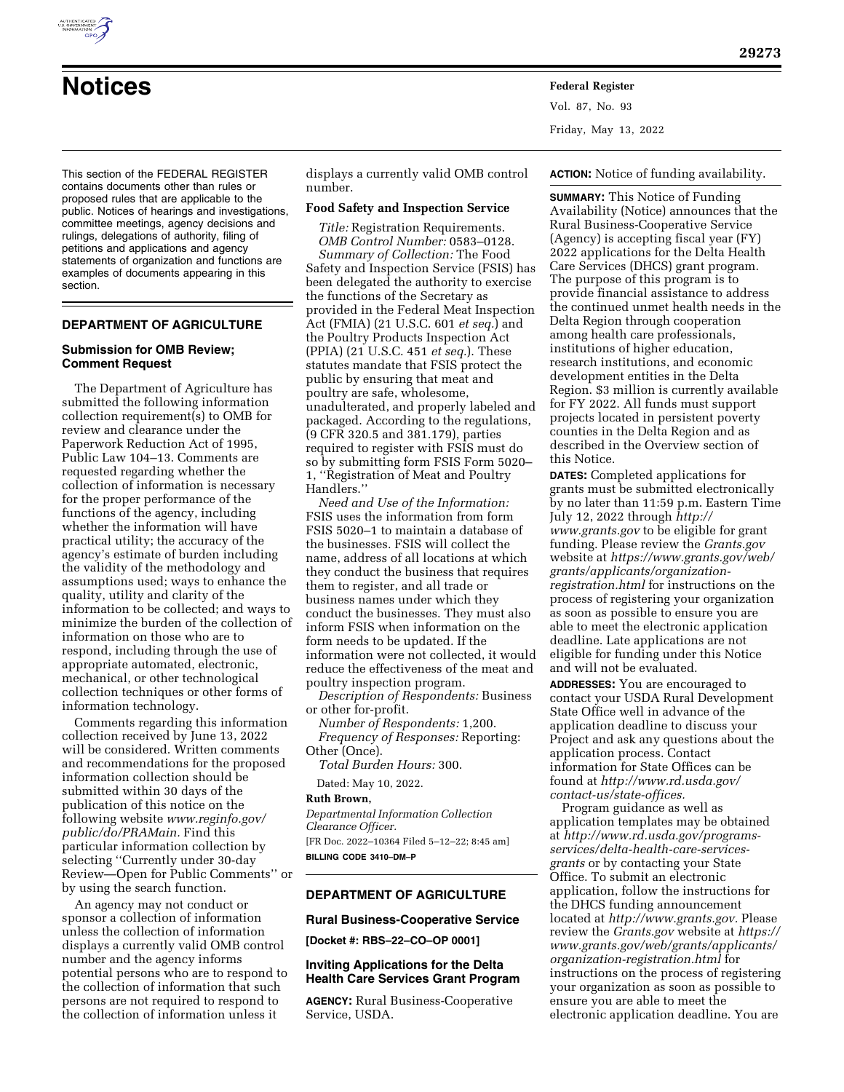

## **DEPARTMENT OF AGRICULTURE**

# **Submission for OMB Review; Comment Request**

The Department of Agriculture has submitted the following information collection requirement(s) to OMB for review and clearance under the Paperwork Reduction Act of 1995, Public Law 104–13. Comments are requested regarding whether the collection of information is necessary for the proper performance of the functions of the agency, including whether the information will have practical utility; the accuracy of the agency's estimate of burden including the validity of the methodology and assumptions used; ways to enhance the quality, utility and clarity of the information to be collected; and ways to minimize the burden of the collection of information on those who are to respond, including through the use of appropriate automated, electronic, mechanical, or other technological collection techniques or other forms of information technology.

Comments regarding this information collection received by June 13, 2022 will be considered. Written comments and recommendations for the proposed information collection should be submitted within 30 days of the publication of this notice on the following website *[www.reginfo.gov/](http://www.reginfo.gov/public/do/PRAMain)  [public/do/PRAMain.](http://www.reginfo.gov/public/do/PRAMain)* Find this particular information collection by selecting ''Currently under 30-day Review—Open for Public Comments'' or by using the search function.

An agency may not conduct or sponsor a collection of information unless the collection of information displays a currently valid OMB control number and the agency informs potential persons who are to respond to the collection of information that such persons are not required to respond to the collection of information unless it

displays a currently valid OMB control number.

## **Food Safety and Inspection Service**

**Notices Federal Register**

*Title:* Registration Requirements. *OMB Control Number:* 0583–0128.

*Summary of Collection:* The Food Safety and Inspection Service (FSIS) has been delegated the authority to exercise the functions of the Secretary as provided in the Federal Meat Inspection Act (FMIA) (21 U.S.C. 601 *et seq.*) and the Poultry Products Inspection Act (PPIA) (21 U.S.C. 451 *et seq.*). These statutes mandate that FSIS protect the public by ensuring that meat and poultry are safe, wholesome, unadulterated, and properly labeled and packaged. According to the regulations, (9 CFR 320.5 and 381.179), parties required to register with FSIS must do so by submitting form FSIS Form 5020– 1, ''Registration of Meat and Poultry Handlers.''

*Need and Use of the Information:*  FSIS uses the information from form FSIS 5020–1 to maintain a database of the businesses. FSIS will collect the name, address of all locations at which they conduct the business that requires them to register, and all trade or business names under which they conduct the businesses. They must also inform FSIS when information on the form needs to be updated. If the information were not collected, it would reduce the effectiveness of the meat and poultry inspection program.

*Description of Respondents:* Business or other for-profit.

*Number of Respondents:* 1,200. *Frequency of Responses:* Reporting: Other (Once).

*Total Burden Hours:* 300.

Dated: May 10, 2022.

#### **Ruth Brown,**

*Departmental Information Collection Clearance Officer.*  [FR Doc. 2022–10364 Filed 5–12–22; 8:45 am] **BILLING CODE 3410–DM–P** 

# **DEPARTMENT OF AGRICULTURE**

#### **Rural Business-Cooperative Service**

**[Docket #: RBS–22–CO–OP 0001]** 

## **Inviting Applications for the Delta Health Care Services Grant Program**

**AGENCY:** Rural Business-Cooperative Service, USDA.

**ACTION:** Notice of funding availability.

**29273** 

**SUMMARY:** This Notice of Funding Availability (Notice) announces that the Rural Business-Cooperative Service (Agency) is accepting fiscal year (FY) 2022 applications for the Delta Health Care Services (DHCS) grant program. The purpose of this program is to provide financial assistance to address the continued unmet health needs in the Delta Region through cooperation among health care professionals, institutions of higher education, research institutions, and economic development entities in the Delta Region. \$3 million is currently available for FY 2022. All funds must support projects located in persistent poverty counties in the Delta Region and as described in the Overview section of this Notice.

**DATES:** Completed applications for grants must be submitted electronically by no later than 11:59 p.m. Eastern Time July 12, 2022 through *[http://](http://www.grants.gov) [www.grants.gov](http://www.grants.gov)* to be eligible for grant funding. Please review the *Grants.gov*  website at *[https://www.grants.gov/web/](https://www.grants.gov/web/grants/applicants/organization-registration.html)  [grants/applicants/organization](https://www.grants.gov/web/grants/applicants/organization-registration.html)[registration.html](https://www.grants.gov/web/grants/applicants/organization-registration.html)* for instructions on the process of registering your organization as soon as possible to ensure you are able to meet the electronic application deadline. Late applications are not eligible for funding under this Notice and will not be evaluated.

**ADDRESSES:** You are encouraged to contact your USDA Rural Development State Office well in advance of the application deadline to discuss your Project and ask any questions about the application process. Contact information for State Offices can be found at *[http://www.rd.usda.gov/](http://www.rd.usda.gov/contact-us/state-offices) [contact-us/state-offices.](http://www.rd.usda.gov/contact-us/state-offices)* 

Program guidance as well as application templates may be obtained at *[http://www.rd.usda.gov/programs](http://www.rd.usda.gov/programs-services/delta-health-care-services-grants)[services/delta-health-care-services](http://www.rd.usda.gov/programs-services/delta-health-care-services-grants)[grants](http://www.rd.usda.gov/programs-services/delta-health-care-services-grants)* or by contacting your State Office. To submit an electronic application, follow the instructions for the DHCS funding announcement located at *[http://www.grants.gov.](http://www.grants.gov)* Please review the *Grants.gov* website at *[https://](https://www.grants.gov/web/grants/applicants/organization-registration.html)  [www.grants.gov/web/grants/applicants/](https://www.grants.gov/web/grants/applicants/organization-registration.html)  [organization-registration.html](https://www.grants.gov/web/grants/applicants/organization-registration.html)* for instructions on the process of registering your organization as soon as possible to ensure you are able to meet the electronic application deadline. You are

Vol. 87, No. 93

Friday, May 13, 2022

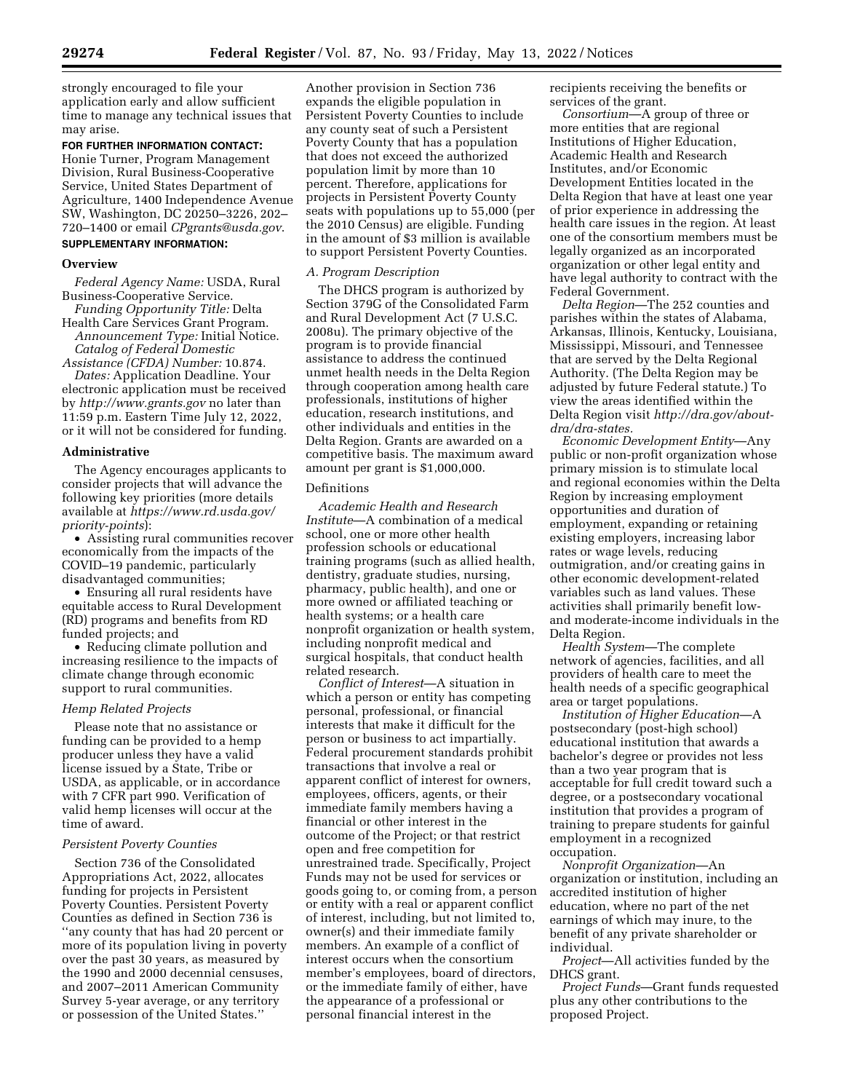strongly encouraged to file your application early and allow sufficient time to manage any technical issues that may arise.

**FOR FURTHER INFORMATION CONTACT:**  Honie Turner, Program Management Division, Rural Business-Cooperative Service, United States Department of Agriculture, 1400 Independence Avenue SW, Washington, DC 20250–3226, 202– 720–1400 or email *[CPgrants@usda.gov](mailto:CPgrants@usda.gov)*. **SUPPLEMENTARY INFORMATION:** 

## **Overview**

*Federal Agency Name:* USDA, Rural Business-Cooperative Service.

*Funding Opportunity Title:* Delta Health Care Services Grant Program. *Announcement Type:* Initial Notice. *Catalog of Federal Domestic* 

*Assistance (CFDA) Number:* 10.874. *Dates:* Application Deadline. Your electronic application must be received

by *<http://www.grants.gov>*no later than 11:59 p.m. Eastern Time July 12, 2022, or it will not be considered for funding.

## **Administrative**

The Agency encourages applicants to consider projects that will advance the following key priorities (more details available at *[https://www.rd.usda.gov/](https://www.rd.usda.gov/priority-points)  [priority-points](https://www.rd.usda.gov/priority-points)*):

• Assisting rural communities recover economically from the impacts of the COVID–19 pandemic, particularly disadvantaged communities;

• Ensuring all rural residents have equitable access to Rural Development (RD) programs and benefits from RD funded projects; and

• Reducing climate pollution and increasing resilience to the impacts of climate change through economic support to rural communities.

#### *Hemp Related Projects*

Please note that no assistance or funding can be provided to a hemp producer unless they have a valid license issued by a State, Tribe or USDA, as applicable, or in accordance with 7 CFR part 990. Verification of valid hemp licenses will occur at the time of award.

### *Persistent Poverty Counties*

Section 736 of the Consolidated Appropriations Act, 2022, allocates funding for projects in Persistent Poverty Counties. Persistent Poverty Counties as defined in Section 736 is ''any county that has had 20 percent or more of its population living in poverty over the past 30 years, as measured by the 1990 and 2000 decennial censuses, and 2007–2011 American Community Survey 5-year average, or any territory or possession of the United States.''

Another provision in Section 736 expands the eligible population in Persistent Poverty Counties to include any county seat of such a Persistent Poverty County that has a population that does not exceed the authorized population limit by more than 10 percent. Therefore, applications for projects in Persistent Poverty County seats with populations up to 55,000 (per the 2010 Census) are eligible. Funding in the amount of \$3 million is available to support Persistent Poverty Counties.

### *A. Program Description*

The DHCS program is authorized by Section 379G of the Consolidated Farm and Rural Development Act (7 U.S.C. 2008u). The primary objective of the program is to provide financial assistance to address the continued unmet health needs in the Delta Region through cooperation among health care professionals, institutions of higher education, research institutions, and other individuals and entities in the Delta Region. Grants are awarded on a competitive basis. The maximum award amount per grant is \$1,000,000.

## Definitions

*Academic Health and Research Institute*—A combination of a medical school, one or more other health profession schools or educational training programs (such as allied health, dentistry, graduate studies, nursing, pharmacy, public health), and one or more owned or affiliated teaching or health systems; or a health care nonprofit organization or health system, including nonprofit medical and surgical hospitals, that conduct health related research.

*Conflict of Interest*—A situation in which a person or entity has competing personal, professional, or financial interests that make it difficult for the person or business to act impartially. Federal procurement standards prohibit transactions that involve a real or apparent conflict of interest for owners, employees, officers, agents, or their immediate family members having a financial or other interest in the outcome of the Project; or that restrict open and free competition for unrestrained trade. Specifically, Project Funds may not be used for services or goods going to, or coming from, a person or entity with a real or apparent conflict of interest, including, but not limited to, owner(s) and their immediate family members. An example of a conflict of interest occurs when the consortium member's employees, board of directors, or the immediate family of either, have the appearance of a professional or personal financial interest in the

recipients receiving the benefits or services of the grant.

*Consortium*—A group of three or more entities that are regional Institutions of Higher Education, Academic Health and Research Institutes, and/or Economic Development Entities located in the Delta Region that have at least one year of prior experience in addressing the health care issues in the region. At least one of the consortium members must be legally organized as an incorporated organization or other legal entity and have legal authority to contract with the Federal Government.

*Delta Region*—The 252 counties and parishes within the states of Alabama, Arkansas, Illinois, Kentucky, Louisiana, Mississippi, Missouri, and Tennessee that are served by the Delta Regional Authority. (The Delta Region may be adjusted by future Federal statute.) To view the areas identified within the Delta Region visit *[http://dra.gov/about](http://dra.gov/about-dra/dra-states)[dra/dra-states.](http://dra.gov/about-dra/dra-states)* 

*Economic Development Entity*—Any public or non-profit organization whose primary mission is to stimulate local and regional economies within the Delta Region by increasing employment opportunities and duration of employment, expanding or retaining existing employers, increasing labor rates or wage levels, reducing outmigration, and/or creating gains in other economic development-related variables such as land values. These activities shall primarily benefit lowand moderate-income individuals in the Delta Region.

*Health System*—The complete network of agencies, facilities, and all providers of health care to meet the health needs of a specific geographical area or target populations.

*Institution of Higher Education*—A postsecondary (post-high school) educational institution that awards a bachelor's degree or provides not less than a two year program that is acceptable for full credit toward such a degree, or a postsecondary vocational institution that provides a program of training to prepare students for gainful employment in a recognized occupation.

*Nonprofit Organization*—An organization or institution, including an accredited institution of higher education, where no part of the net earnings of which may inure, to the benefit of any private shareholder or individual.

*Project*—All activities funded by the DHCS grant.

*Project Funds*—Grant funds requested plus any other contributions to the proposed Project.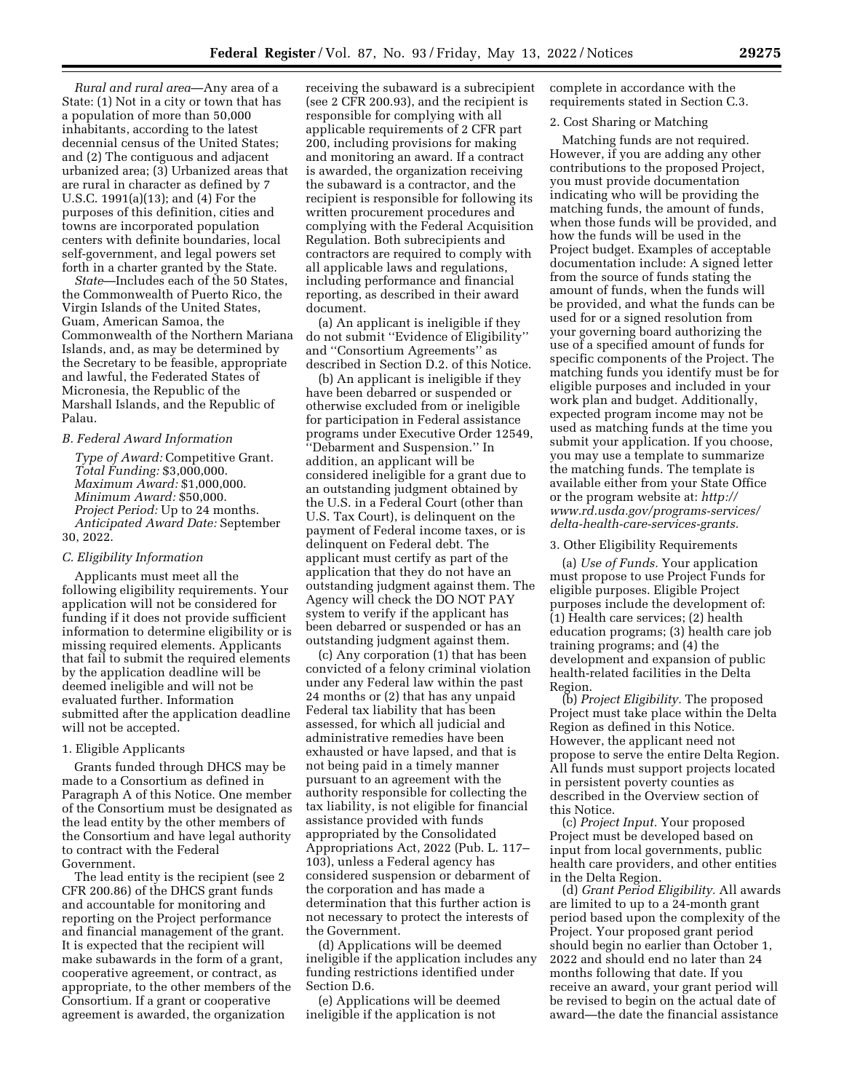*Rural and rural area*—Any area of a State: (1) Not in a city or town that has a population of more than 50,000 inhabitants, according to the latest decennial census of the United States; and (2) The contiguous and adjacent urbanized area; (3) Urbanized areas that are rural in character as defined by 7 U.S.C. 1991(a)(13); and (4) For the purposes of this definition, cities and towns are incorporated population centers with definite boundaries, local self-government, and legal powers set forth in a charter granted by the State.

*State*—Includes each of the 50 States, the Commonwealth of Puerto Rico, the Virgin Islands of the United States, Guam, American Samoa, the Commonwealth of the Northern Mariana Islands, and, as may be determined by the Secretary to be feasible, appropriate and lawful, the Federated States of Micronesia, the Republic of the Marshall Islands, and the Republic of Palau.

## *B. Federal Award Information*

*Type of Award:* Competitive Grant. *Total Funding:* \$3,000,000. *Maximum Award:* \$1,000,000. *Minimum Award:* \$50,000. *Project Period:* Up to 24 months. *Anticipated Award Date:* September 30, 2022.

### *C. Eligibility Information*

Applicants must meet all the following eligibility requirements. Your application will not be considered for funding if it does not provide sufficient information to determine eligibility or is missing required elements. Applicants that fail to submit the required elements by the application deadline will be deemed ineligible and will not be evaluated further. Information submitted after the application deadline will not be accepted.

## 1. Eligible Applicants

Grants funded through DHCS may be made to a Consortium as defined in Paragraph A of this Notice. One member of the Consortium must be designated as the lead entity by the other members of the Consortium and have legal authority to contract with the Federal Government.

The lead entity is the recipient (see 2 CFR 200.86) of the DHCS grant funds and accountable for monitoring and reporting on the Project performance and financial management of the grant. It is expected that the recipient will make subawards in the form of a grant, cooperative agreement, or contract, as appropriate, to the other members of the Consortium. If a grant or cooperative agreement is awarded, the organization

receiving the subaward is a subrecipient (see 2 CFR 200.93), and the recipient is responsible for complying with all applicable requirements of 2 CFR part 200, including provisions for making and monitoring an award. If a contract is awarded, the organization receiving the subaward is a contractor, and the recipient is responsible for following its written procurement procedures and complying with the Federal Acquisition Regulation. Both subrecipients and contractors are required to comply with all applicable laws and regulations, including performance and financial reporting, as described in their award document.

(a) An applicant is ineligible if they do not submit ''Evidence of Eligibility'' and ''Consortium Agreements'' as described in Section D.2. of this Notice.

(b) An applicant is ineligible if they have been debarred or suspended or otherwise excluded from or ineligible for participation in Federal assistance programs under Executive Order 12549, ''Debarment and Suspension.'' In addition, an applicant will be considered ineligible for a grant due to an outstanding judgment obtained by the U.S. in a Federal Court (other than U.S. Tax Court), is delinquent on the payment of Federal income taxes, or is delinquent on Federal debt. The applicant must certify as part of the application that they do not have an outstanding judgment against them. The Agency will check the DO NOT PAY system to verify if the applicant has been debarred or suspended or has an outstanding judgment against them.

(c) Any corporation (1) that has been convicted of a felony criminal violation under any Federal law within the past 24 months or (2) that has any unpaid Federal tax liability that has been assessed, for which all judicial and administrative remedies have been exhausted or have lapsed, and that is not being paid in a timely manner pursuant to an agreement with the authority responsible for collecting the tax liability, is not eligible for financial assistance provided with funds appropriated by the Consolidated Appropriations Act, 2022 (Pub. L. 117– 103), unless a Federal agency has considered suspension or debarment of the corporation and has made a determination that this further action is not necessary to protect the interests of the Government.

(d) Applications will be deemed ineligible if the application includes any funding restrictions identified under Section D.6.

(e) Applications will be deemed ineligible if the application is not

complete in accordance with the requirements stated in Section C.3.

#### 2. Cost Sharing or Matching

Matching funds are not required. However, if you are adding any other contributions to the proposed Project, you must provide documentation indicating who will be providing the matching funds, the amount of funds, when those funds will be provided, and how the funds will be used in the Project budget. Examples of acceptable documentation include: A signed letter from the source of funds stating the amount of funds, when the funds will be provided, and what the funds can be used for or a signed resolution from your governing board authorizing the use of a specified amount of funds for specific components of the Project. The matching funds you identify must be for eligible purposes and included in your work plan and budget. Additionally, expected program income may not be used as matching funds at the time you submit your application. If you choose, you may use a template to summarize the matching funds. The template is available either from your State Office or the program website at: *[http://](http://www.rd.usda.gov/programs-services/delta-health-care-services-grants) [www.rd.usda.gov/programs-services/](http://www.rd.usda.gov/programs-services/delta-health-care-services-grants)  [delta-health-care-services-grants.](http://www.rd.usda.gov/programs-services/delta-health-care-services-grants)* 

# 3. Other Eligibility Requirements

(a) *Use of Funds.* Your application must propose to use Project Funds for eligible purposes. Eligible Project purposes include the development of: (1) Health care services; (2) health education programs; (3) health care job training programs; and (4) the development and expansion of public health-related facilities in the Delta Region.

(b) *Project Eligibility.* The proposed Project must take place within the Delta Region as defined in this Notice. However, the applicant need not propose to serve the entire Delta Region. All funds must support projects located in persistent poverty counties as described in the Overview section of this Notice.

(c) *Project Input.* Your proposed Project must be developed based on input from local governments, public health care providers, and other entities in the Delta Region.

(d) *Grant Period Eligibility.* All awards are limited to up to a 24-month grant period based upon the complexity of the Project. Your proposed grant period should begin no earlier than October 1, 2022 and should end no later than 24 months following that date. If you receive an award, your grant period will be revised to begin on the actual date of award—the date the financial assistance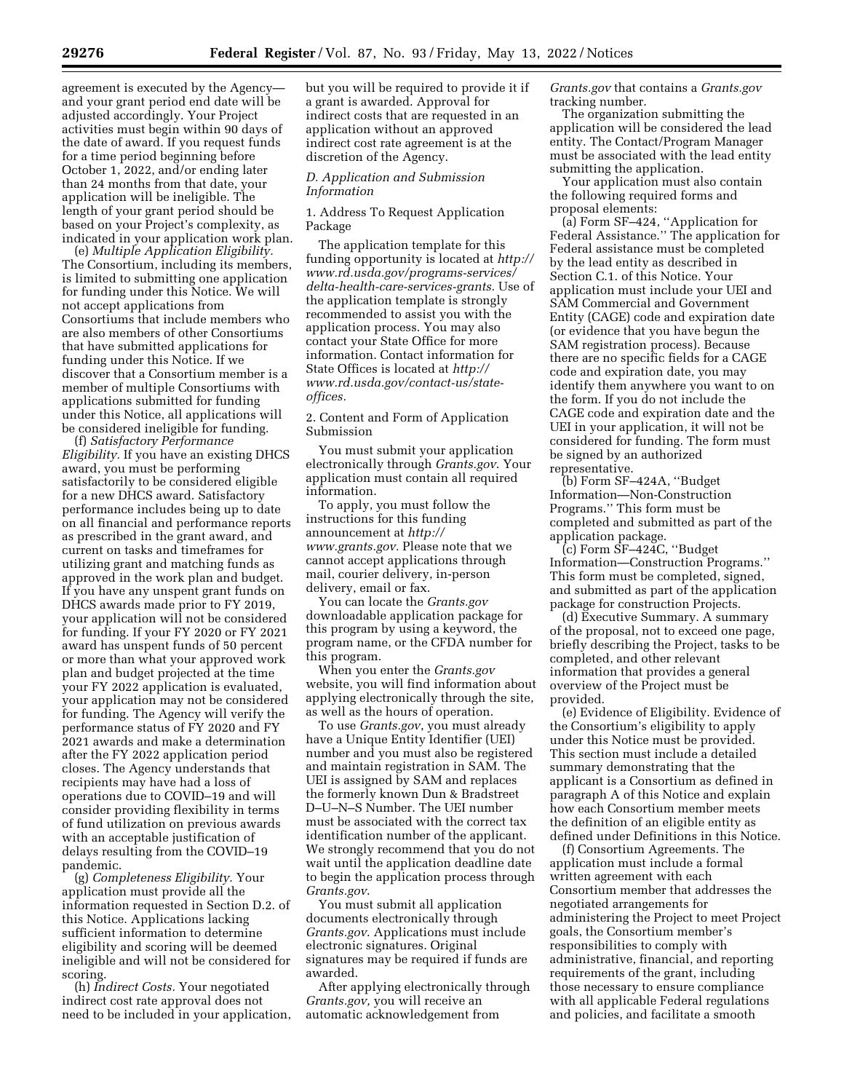agreement is executed by the Agency and your grant period end date will be adjusted accordingly. Your Project activities must begin within 90 days of the date of award. If you request funds for a time period beginning before October 1, 2022, and/or ending later than 24 months from that date, your application will be ineligible. The length of your grant period should be based on your Project's complexity, as indicated in your application work plan.

(e) *Multiple Application Eligibility.*  The Consortium, including its members, is limited to submitting one application for funding under this Notice. We will not accept applications from Consortiums that include members who are also members of other Consortiums that have submitted applications for funding under this Notice. If we discover that a Consortium member is a member of multiple Consortiums with applications submitted for funding under this Notice, all applications will be considered ineligible for funding.

(f) *Satisfactory Performance Eligibility.* If you have an existing DHCS award, you must be performing satisfactorily to be considered eligible for a new DHCS award. Satisfactory performance includes being up to date on all financial and performance reports as prescribed in the grant award, and current on tasks and timeframes for utilizing grant and matching funds as approved in the work plan and budget. If you have any unspent grant funds on DHCS awards made prior to FY 2019, your application will not be considered for funding. If your FY 2020 or FY 2021 award has unspent funds of 50 percent or more than what your approved work plan and budget projected at the time your FY 2022 application is evaluated, your application may not be considered for funding. The Agency will verify the performance status of FY 2020 and FY 2021 awards and make a determination after the FY 2022 application period closes. The Agency understands that recipients may have had a loss of operations due to COVID–19 and will consider providing flexibility in terms of fund utilization on previous awards with an acceptable justification of delays resulting from the COVID–19 pandemic.

(g) *Completeness Eligibility.* Your application must provide all the information requested in Section D.2. of this Notice. Applications lacking sufficient information to determine eligibility and scoring will be deemed ineligible and will not be considered for scoring.

(h) *Indirect Costs.* Your negotiated indirect cost rate approval does not need to be included in your application,

but you will be required to provide it if a grant is awarded. Approval for indirect costs that are requested in an application without an approved indirect cost rate agreement is at the discretion of the Agency.

## *D. Application and Submission Information*

1. Address To Request Application Package

The application template for this funding opportunity is located at *[http://](http://www.rd.usda.gov/programs-services/delta-health-care-services-grants) [www.rd.usda.gov/programs-services/](http://www.rd.usda.gov/programs-services/delta-health-care-services-grants)  [delta-health-care-services-grants.](http://www.rd.usda.gov/programs-services/delta-health-care-services-grants)* Use of the application template is strongly recommended to assist you with the application process. You may also contact your State Office for more information. Contact information for State Offices is located at *[http://](http://www.rd.usda.gov/contact-us/state-offices) [www.rd.usda.gov/contact-us/state](http://www.rd.usda.gov/contact-us/state-offices)[offices.](http://www.rd.usda.gov/contact-us/state-offices)* 

2. Content and Form of Application Submission

You must submit your application electronically through *Grants.gov*. Your application must contain all required information.

To apply, you must follow the instructions for this funding announcement at *[http://](http://www.grants.gov) [www.grants.gov.](http://www.grants.gov)* Please note that we cannot accept applications through mail, courier delivery, in-person delivery, email or fax.

You can locate the *Grants.gov*  downloadable application package for this program by using a keyword, the program name, or the CFDA number for this program.

When you enter the *Grants.gov*  website, you will find information about applying electronically through the site, as well as the hours of operation.

To use *Grants.gov*, you must already have a Unique Entity Identifier (UEI) number and you must also be registered and maintain registration in SAM. The UEI is assigned by SAM and replaces the formerly known Dun & Bradstreet D–U–N–S Number. The UEI number must be associated with the correct tax identification number of the applicant. We strongly recommend that you do not wait until the application deadline date to begin the application process through *Grants.gov*.

You must submit all application documents electronically through *Grants.gov*. Applications must include electronic signatures. Original signatures may be required if funds are awarded.

After applying electronically through *Grants.gov,* you will receive an automatic acknowledgement from

*Grants.gov* that contains a *Grants.gov*  tracking number.

The organization submitting the application will be considered the lead entity. The Contact/Program Manager must be associated with the lead entity submitting the application.

Your application must also contain the following required forms and proposal elements:

(a) Form SF–424, ''Application for Federal Assistance.'' The application for Federal assistance must be completed by the lead entity as described in Section C.1. of this Notice. Your application must include your UEI and SAM Commercial and Government Entity (CAGE) code and expiration date (or evidence that you have begun the SAM registration process). Because there are no specific fields for a CAGE code and expiration date, you may identify them anywhere you want to on the form. If you do not include the CAGE code and expiration date and the UEI in your application, it will not be considered for funding. The form must be signed by an authorized representative.

(b) Form SF–424A, ''Budget Information—Non-Construction Programs.'' This form must be completed and submitted as part of the application package.

(c) Form SF–424C, ''Budget Information—Construction Programs.'' This form must be completed, signed, and submitted as part of the application package for construction Projects.

(d) Executive Summary. A summary of the proposal, not to exceed one page, briefly describing the Project, tasks to be completed, and other relevant information that provides a general overview of the Project must be provided.

(e) Evidence of Eligibility. Evidence of the Consortium's eligibility to apply under this Notice must be provided. This section must include a detailed summary demonstrating that the applicant is a Consortium as defined in paragraph A of this Notice and explain how each Consortium member meets the definition of an eligible entity as defined under Definitions in this Notice.

(f) Consortium Agreements. The application must include a formal written agreement with each Consortium member that addresses the negotiated arrangements for administering the Project to meet Project goals, the Consortium member's responsibilities to comply with administrative, financial, and reporting requirements of the grant, including those necessary to ensure compliance with all applicable Federal regulations and policies, and facilitate a smooth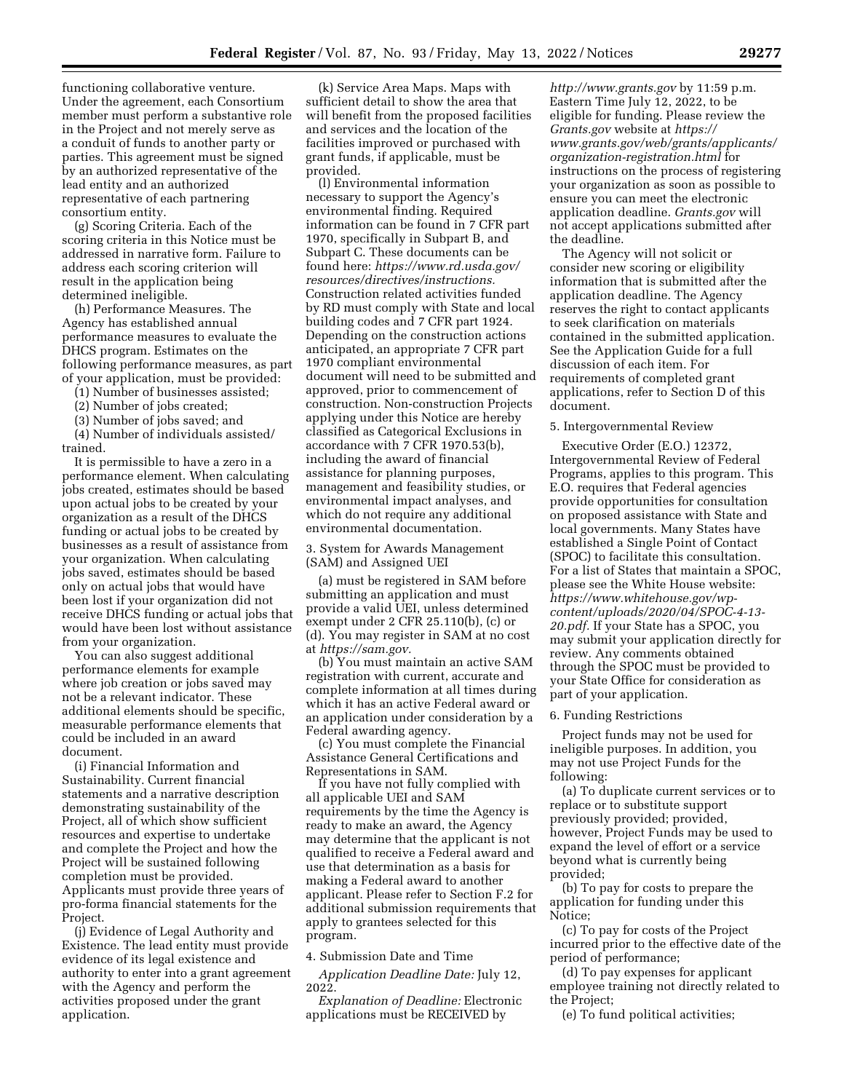functioning collaborative venture. Under the agreement, each Consortium member must perform a substantive role in the Project and not merely serve as a conduit of funds to another party or parties. This agreement must be signed by an authorized representative of the lead entity and an authorized representative of each partnering consortium entity.

(g) Scoring Criteria. Each of the scoring criteria in this Notice must be addressed in narrative form. Failure to address each scoring criterion will result in the application being determined ineligible.

(h) Performance Measures. The Agency has established annual performance measures to evaluate the DHCS program. Estimates on the following performance measures, as part of your application, must be provided:

(1) Number of businesses assisted;

(2) Number of jobs created;

(3) Number of jobs saved; and (4) Number of individuals assisted/ trained.

It is permissible to have a zero in a performance element. When calculating jobs created, estimates should be based upon actual jobs to be created by your organization as a result of the DHCS funding or actual jobs to be created by businesses as a result of assistance from your organization. When calculating jobs saved, estimates should be based only on actual jobs that would have been lost if your organization did not receive DHCS funding or actual jobs that would have been lost without assistance from your organization.

You can also suggest additional performance elements for example where job creation or jobs saved may not be a relevant indicator. These additional elements should be specific, measurable performance elements that could be included in an award document.

(i) Financial Information and Sustainability. Current financial statements and a narrative description demonstrating sustainability of the Project, all of which show sufficient resources and expertise to undertake and complete the Project and how the Project will be sustained following completion must be provided. Applicants must provide three years of pro-forma financial statements for the Project.

(j) Evidence of Legal Authority and Existence. The lead entity must provide evidence of its legal existence and authority to enter into a grant agreement with the Agency and perform the activities proposed under the grant application.

(k) Service Area Maps. Maps with sufficient detail to show the area that will benefit from the proposed facilities and services and the location of the facilities improved or purchased with grant funds, if applicable, must be provided.

(l) Environmental information necessary to support the Agency's environmental finding. Required information can be found in 7 CFR part 1970, specifically in Subpart B, and Subpart C. These documents can be found here: *[https://www.rd.usda.gov/](https://www.rd.usda.gov/resources/directives/instructions) [resources/directives/instructions.](https://www.rd.usda.gov/resources/directives/instructions)*  Construction related activities funded by RD must comply with State and local building codes and 7 CFR part 1924. Depending on the construction actions anticipated, an appropriate 7 CFR part 1970 compliant environmental document will need to be submitted and approved, prior to commencement of construction. Non-construction Projects applying under this Notice are hereby classified as Categorical Exclusions in accordance with 7 CFR 1970.53(b), including the award of financial assistance for planning purposes, management and feasibility studies, or environmental impact analyses, and which do not require any additional environmental documentation.

3. System for Awards Management (SAM) and Assigned UEI

(a) must be registered in SAM before submitting an application and must provide a valid UEI, unless determined exempt under 2 CFR 25.110(b), (c) or (d). You may register in SAM at no cost at *[https://sam.gov.](https://sam.gov)* 

(b) You must maintain an active SAM registration with current, accurate and complete information at all times during which it has an active Federal award or an application under consideration by a Federal awarding agency.

(c) You must complete the Financial Assistance General Certifications and Representations in SAM.

If you have not fully complied with all applicable UEI and SAM requirements by the time the Agency is ready to make an award, the Agency may determine that the applicant is not qualified to receive a Federal award and use that determination as a basis for making a Federal award to another applicant. Please refer to Section F.2 for additional submission requirements that apply to grantees selected for this program.

### 4. Submission Date and Time

*Application Deadline Date:* July 12, 2022.

*Explanation of Deadline:* Electronic applications must be RECEIVED by

*<http://www.grants.gov>*by 11:59 p.m. Eastern Time July 12, 2022, to be eligible for funding. Please review the *Grants.gov* website at *[https://](https://www.grants.gov/web/grants/applicants/organization-registration.html) [www.grants.gov/web/grants/applicants/](https://www.grants.gov/web/grants/applicants/organization-registration.html)  [organization-registration.html](https://www.grants.gov/web/grants/applicants/organization-registration.html)* for instructions on the process of registering your organization as soon as possible to ensure you can meet the electronic application deadline. *Grants.gov* will not accept applications submitted after the deadline.

The Agency will not solicit or consider new scoring or eligibility information that is submitted after the application deadline. The Agency reserves the right to contact applicants to seek clarification on materials contained in the submitted application. See the Application Guide for a full discussion of each item. For requirements of completed grant applications, refer to Section D of this document.

## 5. Intergovernmental Review

Executive Order (E.O.) 12372, Intergovernmental Review of Federal Programs, applies to this program. This E.O. requires that Federal agencies provide opportunities for consultation on proposed assistance with State and local governments. Many States have established a Single Point of Contact (SPOC) to facilitate this consultation. For a list of States that maintain a SPOC, please see the White House website: *[https://www.whitehouse.gov/wp](https://www.whitehouse.gov/wp-content/uploads/2020/04/SPOC-4-13-20.pdf)[content/uploads/2020/04/SPOC-4-13-](https://www.whitehouse.gov/wp-content/uploads/2020/04/SPOC-4-13-20.pdf) [20.pdf.](https://www.whitehouse.gov/wp-content/uploads/2020/04/SPOC-4-13-20.pdf)* If your State has a SPOC, you may submit your application directly for review. Any comments obtained through the SPOC must be provided to your State Office for consideration as part of your application.

#### 6. Funding Restrictions

Project funds may not be used for ineligible purposes. In addition, you may not use Project Funds for the following:

(a) To duplicate current services or to replace or to substitute support previously provided; provided, however, Project Funds may be used to expand the level of effort or a service beyond what is currently being provided;

(b) To pay for costs to prepare the application for funding under this Notice;

(c) To pay for costs of the Project incurred prior to the effective date of the period of performance;

(d) To pay expenses for applicant employee training not directly related to the Project;

(e) To fund political activities;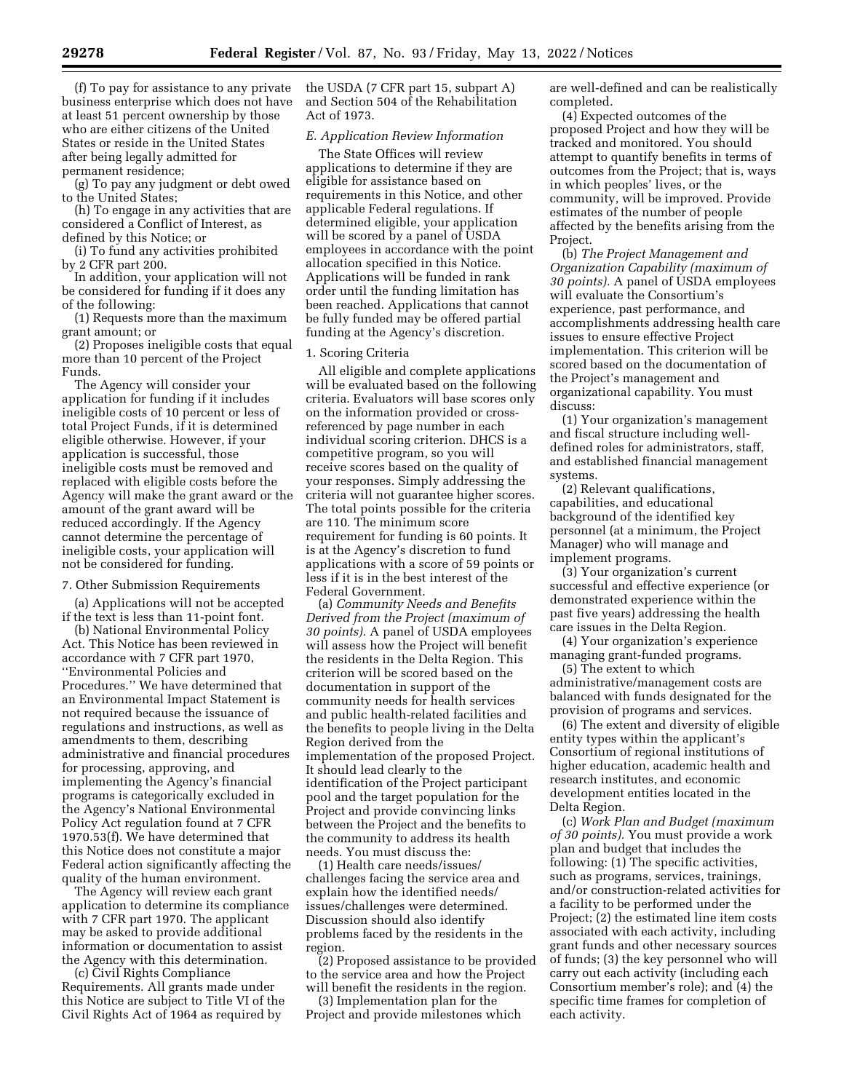(f) To pay for assistance to any private business enterprise which does not have at least 51 percent ownership by those who are either citizens of the United States or reside in the United States after being legally admitted for permanent residence;

(g) To pay any judgment or debt owed to the United States;

(h) To engage in any activities that are considered a Conflict of Interest, as defined by this Notice; or

(i) To fund any activities prohibited by 2 CFR part 200.

In addition, your application will not be considered for funding if it does any of the following:

(1) Requests more than the maximum grant amount; or

(2) Proposes ineligible costs that equal more than 10 percent of the Project Funds.

The Agency will consider your application for funding if it includes ineligible costs of 10 percent or less of total Project Funds, if it is determined eligible otherwise. However, if your application is successful, those ineligible costs must be removed and replaced with eligible costs before the Agency will make the grant award or the amount of the grant award will be reduced accordingly. If the Agency cannot determine the percentage of ineligible costs, your application will not be considered for funding.

## 7. Other Submission Requirements

(a) Applications will not be accepted if the text is less than 11-point font.

(b) National Environmental Policy Act. This Notice has been reviewed in accordance with 7 CFR part 1970, ''Environmental Policies and Procedures.'' We have determined that an Environmental Impact Statement is not required because the issuance of regulations and instructions, as well as amendments to them, describing administrative and financial procedures for processing, approving, and implementing the Agency's financial programs is categorically excluded in the Agency's National Environmental Policy Act regulation found at 7 CFR 1970.53(f). We have determined that this Notice does not constitute a major Federal action significantly affecting the quality of the human environment.

The Agency will review each grant application to determine its compliance with 7 CFR part 1970. The applicant may be asked to provide additional information or documentation to assist the Agency with this determination.

(c) Civil Rights Compliance Requirements. All grants made under this Notice are subject to Title VI of the Civil Rights Act of 1964 as required by

the USDA (7 CFR part 15, subpart A) and Section 504 of the Rehabilitation Act of 1973.

## *E. Application Review Information*

The State Offices will review applications to determine if they are eligible for assistance based on requirements in this Notice, and other applicable Federal regulations. If determined eligible, your application will be scored by a panel of USDA employees in accordance with the point allocation specified in this Notice. Applications will be funded in rank order until the funding limitation has been reached. Applications that cannot be fully funded may be offered partial funding at the Agency's discretion.

### 1. Scoring Criteria

All eligible and complete applications will be evaluated based on the following criteria. Evaluators will base scores only on the information provided or crossreferenced by page number in each individual scoring criterion. DHCS is a competitive program, so you will receive scores based on the quality of your responses. Simply addressing the criteria will not guarantee higher scores. The total points possible for the criteria are 110. The minimum score requirement for funding is 60 points. It is at the Agency's discretion to fund applications with a score of 59 points or less if it is in the best interest of the Federal Government.

(a) *Community Needs and Benefits Derived from the Project (maximum of 30 points).* A panel of USDA employees will assess how the Project will benefit the residents in the Delta Region. This criterion will be scored based on the documentation in support of the community needs for health services and public health-related facilities and the benefits to people living in the Delta Region derived from the implementation of the proposed Project. It should lead clearly to the identification of the Project participant pool and the target population for the Project and provide convincing links between the Project and the benefits to the community to address its health needs. You must discuss the:

(1) Health care needs/issues/ challenges facing the service area and explain how the identified needs/ issues/challenges were determined. Discussion should also identify problems faced by the residents in the region.

(2) Proposed assistance to be provided to the service area and how the Project will benefit the residents in the region.

(3) Implementation plan for the Project and provide milestones which are well-defined and can be realistically completed.

(4) Expected outcomes of the proposed Project and how they will be tracked and monitored. You should attempt to quantify benefits in terms of outcomes from the Project; that is, ways in which peoples' lives, or the community, will be improved. Provide estimates of the number of people affected by the benefits arising from the Project.

(b) *The Project Management and Organization Capability (maximum of 30 points).* A panel of USDA employees will evaluate the Consortium's experience, past performance, and accomplishments addressing health care issues to ensure effective Project implementation. This criterion will be scored based on the documentation of the Project's management and organizational capability. You must discuss:

(1) Your organization's management and fiscal structure including welldefined roles for administrators, staff, and established financial management systems.

(2) Relevant qualifications, capabilities, and educational background of the identified key personnel (at a minimum, the Project Manager) who will manage and implement programs.

(3) Your organization's current successful and effective experience (or demonstrated experience within the past five years) addressing the health care issues in the Delta Region.

(4) Your organization's experience managing grant-funded programs.

(5) The extent to which administrative/management costs are balanced with funds designated for the provision of programs and services.

(6) The extent and diversity of eligible entity types within the applicant's Consortium of regional institutions of higher education, academic health and research institutes, and economic development entities located in the Delta Region.

(c) *Work Plan and Budget (maximum of 30 points).* You must provide a work plan and budget that includes the following: (1) The specific activities, such as programs, services, trainings, and/or construction-related activities for a facility to be performed under the Project; (2) the estimated line item costs associated with each activity, including grant funds and other necessary sources of funds; (3) the key personnel who will carry out each activity (including each Consortium member's role); and (4) the specific time frames for completion of each activity.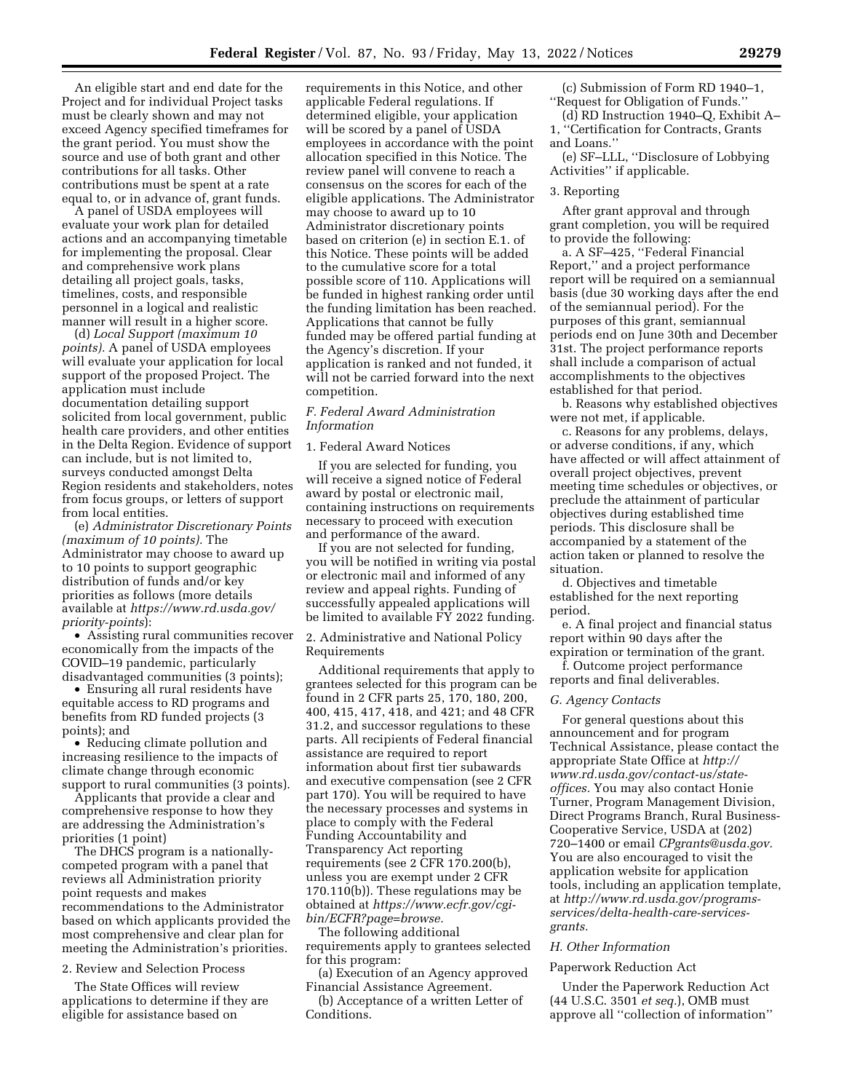An eligible start and end date for the Project and for individual Project tasks must be clearly shown and may not exceed Agency specified timeframes for the grant period. You must show the source and use of both grant and other contributions for all tasks. Other contributions must be spent at a rate equal to, or in advance of, grant funds.

A panel of USDA employees will evaluate your work plan for detailed actions and an accompanying timetable for implementing the proposal. Clear and comprehensive work plans detailing all project goals, tasks, timelines, costs, and responsible personnel in a logical and realistic manner will result in a higher score.

(d) *Local Support (maximum 10 points).* A panel of USDA employees will evaluate your application for local support of the proposed Project. The application must include documentation detailing support solicited from local government, public health care providers, and other entities in the Delta Region. Evidence of support can include, but is not limited to, surveys conducted amongst Delta Region residents and stakeholders, notes from focus groups, or letters of support from local entities.

(e) *Administrator Discretionary Points (maximum of 10 points).* The Administrator may choose to award up to 10 points to support geographic distribution of funds and/or key priorities as follows (more details available at *[https://www.rd.usda.gov/](https://www.rd.usda.gov/priority-points)  [priority-points](https://www.rd.usda.gov/priority-points)*):

• Assisting rural communities recover economically from the impacts of the COVID–19 pandemic, particularly disadvantaged communities (3 points);

• Ensuring all rural residents have equitable access to RD programs and benefits from RD funded projects (3 points); and

• Reducing climate pollution and increasing resilience to the impacts of climate change through economic support to rural communities (3 points).

Applicants that provide a clear and comprehensive response to how they are addressing the Administration's priorities (1 point)

The DHCS program is a nationallycompeted program with a panel that reviews all Administration priority point requests and makes recommendations to the Administrator based on which applicants provided the most comprehensive and clear plan for meeting the Administration's priorities.

2. Review and Selection Process

The State Offices will review applications to determine if they are eligible for assistance based on

requirements in this Notice, and other applicable Federal regulations. If determined eligible, your application will be scored by a panel of USDA employees in accordance with the point allocation specified in this Notice. The review panel will convene to reach a consensus on the scores for each of the eligible applications. The Administrator may choose to award up to 10 Administrator discretionary points based on criterion (e) in section E.1. of this Notice. These points will be added to the cumulative score for a total possible score of 110. Applications will be funded in highest ranking order until the funding limitation has been reached. Applications that cannot be fully funded may be offered partial funding at the Agency's discretion. If your application is ranked and not funded, it will not be carried forward into the next competition.

## *F. Federal Award Administration Information*

## 1. Federal Award Notices

If you are selected for funding, you will receive a signed notice of Federal award by postal or electronic mail, containing instructions on requirements necessary to proceed with execution and performance of the award.

If you are not selected for funding, you will be notified in writing via postal or electronic mail and informed of any review and appeal rights. Funding of successfully appealed applications will be limited to available FY 2022 funding.

2. Administrative and National Policy Requirements

Additional requirements that apply to grantees selected for this program can be found in 2 CFR parts 25, 170, 180, 200, 400, 415, 417, 418, and 421; and 48 CFR 31.2, and successor regulations to these parts. All recipients of Federal financial assistance are required to report information about first tier subawards and executive compensation (see 2 CFR part 170). You will be required to have the necessary processes and systems in place to comply with the Federal Funding Accountability and Transparency Act reporting requirements (see 2 CFR 170.200(b), unless you are exempt under 2 CFR 170.110(b)). These regulations may be obtained at *[https://www.ecfr.gov/cgi](https://www.ecfr.gov/cgi-bin/ECFR?page=browse)[bin/ECFR?page=browse.](https://www.ecfr.gov/cgi-bin/ECFR?page=browse)* 

The following additional requirements apply to grantees selected for this program:

(a) Execution of an Agency approved Financial Assistance Agreement.

(b) Acceptance of a written Letter of Conditions.

(c) Submission of Form RD 1940–1, ''Request for Obligation of Funds.''

(d) RD Instruction 1940–Q, Exhibit A– 1, ''Certification for Contracts, Grants and Loans.''

(e) SF–LLL, ''Disclosure of Lobbying Activities'' if applicable.

#### 3. Reporting

After grant approval and through grant completion, you will be required to provide the following:

a. A SF–425, ''Federal Financial Report,'' and a project performance report will be required on a semiannual basis (due 30 working days after the end of the semiannual period). For the purposes of this grant, semiannual periods end on June 30th and December 31st. The project performance reports shall include a comparison of actual accomplishments to the objectives established for that period.

b. Reasons why established objectives were not met, if applicable.

c. Reasons for any problems, delays, or adverse conditions, if any, which have affected or will affect attainment of overall project objectives, prevent meeting time schedules or objectives, or preclude the attainment of particular objectives during established time periods. This disclosure shall be accompanied by a statement of the action taken or planned to resolve the situation.

d. Objectives and timetable established for the next reporting period.

e. A final project and financial status report within 90 days after the expiration or termination of the grant.

f. Outcome project performance reports and final deliverables.

#### *G. Agency Contacts*

For general questions about this announcement and for program Technical Assistance, please contact the appropriate State Office at *[http://](http://www.rd.usda.gov/contact-us/state-offices) [www.rd.usda.gov/contact-us/state](http://www.rd.usda.gov/contact-us/state-offices)[offices.](http://www.rd.usda.gov/contact-us/state-offices)* You may also contact Honie Turner, Program Management Division, Direct Programs Branch, Rural Business-Cooperative Service, USDA at (202) 720–1400 or email *[CPgrants@usda.gov.](mailto:CPgrants@usda.gov)*  You are also encouraged to visit the application website for application tools, including an application template, at *[http://www.rd.usda.gov/programs](http://www.rd.usda.gov/programs-services/delta-health-care-services-grants)[services/delta-health-care-services](http://www.rd.usda.gov/programs-services/delta-health-care-services-grants)[grants.](http://www.rd.usda.gov/programs-services/delta-health-care-services-grants)* 

### *H. Other Information*

## Paperwork Reduction Act

Under the Paperwork Reduction Act (44 U.S.C. 3501 *et seq.*), OMB must approve all ''collection of information''